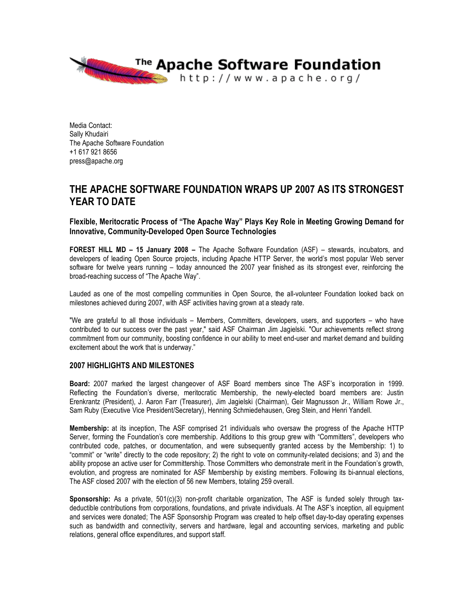

Media Contact: Sally Khudairi The Apache Software Foundation +1 617 921 8656 press@apache.org

# **THE APACHE SOFTWARE FOUNDATION WRAPS UP 2007 AS ITS STRONGEST YEAR TO DATE**

**Flexible, Meritocratic Process of "The Apache Way" Plays Key Role in Meeting Growing Demand for Innovative, Community-Developed Open Source Technologies**

**FOREST HILL MD – 15 January 2008 –** The Apache Software Foundation (ASF) – stewards, incubators, and developers of leading Open Source projects, including Apache HTTP Server, the world's most popular Web server software for twelve years running – today announced the 2007 year finished as its strongest ever, reinforcing the broad-reaching success of "The Apache Way".

Lauded as one of the most compelling communities in Open Source, the all-volunteer Foundation looked back on milestones achieved during 2007, with ASF activities having grown at a steady rate.

"We are grateful to all those individuals – Members, Committers, developers, users, and supporters – who have contributed to our success over the past year," said ASF Chairman Jim Jagielski. "Our achievements reflect strong commitment from our community, boosting confidence in our ability to meet end-user and market demand and building excitement about the work that is underway."

## **2007 HIGHLIGHTS AND MILESTONES**

**Board:** 2007 marked the largest changeover of ASF Board members since The ASF's incorporation in 1999. Reflecting the Foundation's diverse, meritocratic Membership, the newly-elected board members are: Justin Erenkrantz (President), J. Aaron Farr (Treasurer), Jim Jagielski (Chairman), Geir Magnusson Jr., William Rowe Jr., Sam Ruby (Executive Vice President/Secretary), Henning Schmiedehausen, Greg Stein, and Henri Yandell.

**Membership:** at its inception, The ASF comprised 21 individuals who oversaw the progress of the Apache HTTP Server, forming the Foundation's core membership. Additions to this group grew with "Committers", developers who contributed code, patches, or documentation, and were subsequently granted access by the Membership: 1) to "commit" or "write" directly to the code repository; 2) the right to vote on community-related decisions; and 3) and the ability propose an active user for Committership. Those Committers who demonstrate merit in the Foundation's growth, evolution, and progress are nominated for ASF Membership by existing members. Following its bi-annual elections, The ASF closed 2007 with the election of 56 new Members, totaling 259 overall.

**Sponsorship:** As a private, 501(c)(3) non-profit charitable organization, The ASF is funded solely through taxdeductible contributions from corporations, foundations, and private individuals. At The ASF's inception, all equipment and services were donated; The ASF Sponsorship Program was created to help offset day-to-day operating expenses such as bandwidth and connectivity, servers and hardware, legal and accounting services, marketing and public relations, general office expenditures, and support staff.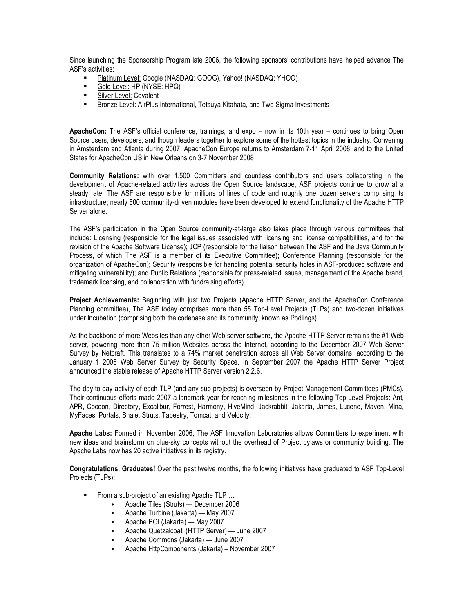Since launching the Sponsorship Program late 2006, the following sponsors' contributions have helped advance The ASF's activities:

- Platinum Level: Google (NASDAQ: GOOG), Yahoo! (NASDAQ: YHOO)
- Gold Level: HP (NYSE: HPQ)
- **Silver Level: Covalent**
- Bronze Level: AirPlus International, Tetsuya Kitahata, and Two Sigma Investments

**ApacheCon:** The ASF's official conference, trainings, and expo – now in its 10th year – continues to bring Open Source users, developers, and though leaders together to explore some of the hottest topics in the industry. Convening in Amsterdam and Atlanta during 2007, ApacheCon Europe returns to Amsterdam 7-11 April 2008; and to the United States for ApacheCon US in New Orleans on 3-7 November 2008.

**Community Relations:** with over 1,500 Committers and countless contributors and users collaborating in the development of Apache-related activities across the Open Source landscape, ASF projects continue to grow at a steady rate. The ASF are responsible for millions of lines of code and roughly one dozen servers comprising its infrastructure; nearly 500 community-driven modules have been developed to extend functionality of the Apache HTTP Server alone.

The ASF's participation in the Open Source community-at-large also takes place through various committees that include: Licensing (responsible for the legal issues associated with licensing and license compatibilities, and for the revision of the Apache Software License); JCP (responsible for the liaison between The ASF and the Java Community Process, of which The ASF is a member of its Executive Committee); Conference Planning (responsible for the organization of ApacheCon); Security (responsible for handling potential security holes in ASF-produced software and mitigating vulnerability); and Public Relations (responsible for press-related issues, management of the Apache brand, trademark licensing, and collaboration with fundraising efforts).

**Project Achievements:** Beginning with just two Projects (Apache HTTP Server, and the ApacheCon Conference Planning committee), The ASF today comprises more than 55 Top-Level Projects (TLPs) and two-dozen initiatives under Incubation (comprising both the codebase and its community, known as Podlings).

As the backbone of more Websites than any other Web server software, the Apache HTTP Server remains the #1 Web server, powering more than 75 million Websites across the Internet, according to the December 2007 Web Server Survey by Netcraft. This translates to a 74% market penetration across all Web Server domains, according to the January 1 2008 Web Server Survey by Security Space. In September 2007 the Apache HTTP Server Project announced the stable release of Apache HTTP Server version 2.2.6.

The day-to-day activity of each TLP (and any sub-projects) is overseen by Project Management Committees (PMCs). Their continuous efforts made 2007 a landmark year for reaching milestones in the following Top-Level Projects: Ant, APR, Cocoon, Directory, Excalibur, Forrest, Harmony, HiveMind, Jackrabbit, Jakarta, James, Lucene, Maven, Mina, MyFaces, Portals, Shale, Struts, Tapestry, Tomcat, and Velocity.

**Apache Labs:** Formed in November 2006, The ASF Innovation Laboratories allows Committers to experiment with new ideas and brainstorm on blue-sky concepts without the overhead of Project bylaws or community building. The Apache Labs now has 20 active initiatives in its registry.

**Congratulations, Graduates!** Over the past twelve months, the following initiatives have graduated to ASF Top-Level Projects (TLPs):

- From a sub-project of an existing Apache TLP ...
	- Apache Tiles (Struts) December 2006
	- Apache Turbine (Jakarta) May 2007
	- Apache POI (Jakarta) May 2007
	- Apache Quetzalcoatl (HTTP Server) June 2007
	- Apache Commons (Jakarta) June 2007
	- Apache HttpComponents (Jakarta) November 2007